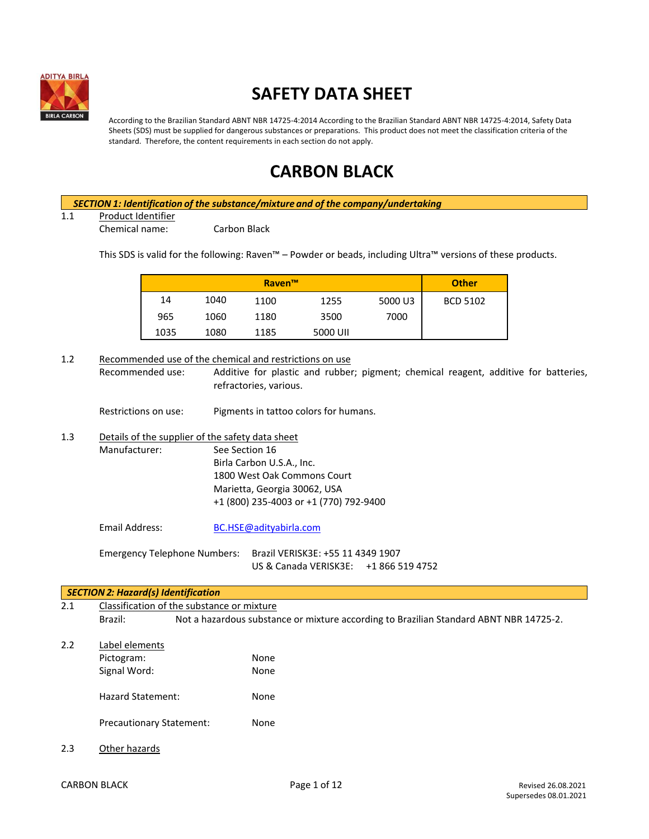

# **SAFETY DATA SHEET**

According to the Brazilian Standard ABNT NBR 14725-4:2014 According to the Brazilian Standard ABNT NBR 14725-4:2014, Safety Data Sheets (SDS) must be supplied for dangerous substances or preparations. This product does not meet the classification criteria of the standard. Therefore, the content requirements in each section do not apply.

# **CARBON BLACK**

*SECTION 1: Identification of the substance/mixture and of the company/undertaking*

1.1 Product Identifier

Chemical name: Carbon Black

This SDS is valid for the following: Raven™ – Powder or beads, including Ultra™ versions of these products.

| <b>Raven™</b> |      |      |          | <b>Other</b> |                 |
|---------------|------|------|----------|--------------|-----------------|
| 14            | 1040 | 1100 | 1255     | 5000 U3      | <b>BCD 5102</b> |
| 965           | 1060 | 1180 | 3500     | 7000         |                 |
| 1035          | 1080 | 1185 | 5000 UII |              |                 |

1.2 Recommended use of the chemical and restrictions on use Recommended use: Additive for plastic and rubber; pigment; chemical reagent, additive for batteries, refractories, various. Restrictions on use: Pigments in tattoo colors for humans. 1.3 Details of the supplier of the safety data sheet Manufacturer: See Section 16 Birla Carbon U.S.A., Inc. 1800 West Oak Commons Court Marietta, Georgia 30062, USA +1 (800) 235-4003 or +1 (770) 792-9400 Email Address: [BC.HSE@adityabirla.com](mailto:BC.HSE@adityabirla.com) Emergency Telephone Numbers: Brazil VERISK3E: +55 11 4349 1907 US & Canada VERISK3E: +1 866 519 4752 *SECTION 2: Hazard(s) Identification* 2.1 Classification of the substance or mixture Brazil: Not a hazardous substance or mixture according to Brazilian Standard ABNT NBR 14725-2.

- 2.2 Label elements Pictogram: None Signal Word: None Hazard Statement: None Precautionary Statement: None
- 2.3 Other hazards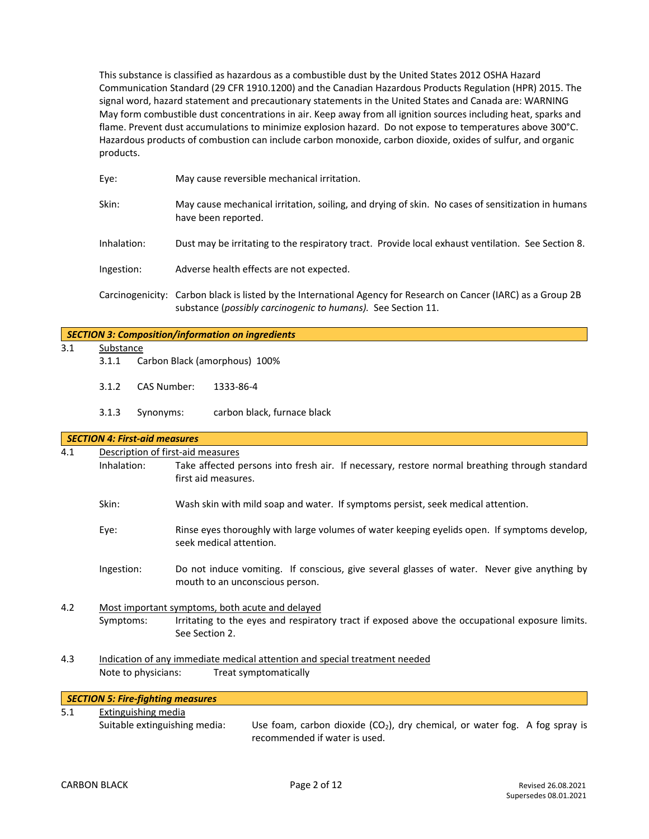This substance is classified as hazardous as a combustible dust by the United States 2012 OSHA Hazard Communication Standard (29 CFR 1910.1200) and the Canadian Hazardous Products Regulation (HPR) 2015. The signal word, hazard statement and precautionary statements in the United States and Canada are: WARNING May form combustible dust concentrations in air. Keep away from all ignition sources including heat, sparks and flame. Prevent dust accumulations to minimize explosion hazard. Do not expose to temperatures above 300°C. Hazardous products of combustion can include carbon monoxide, carbon dioxide, oxides of sulfur, and organic products.

| Eye:        | May cause reversible mechanical irritation.                                                                                                                                     |
|-------------|---------------------------------------------------------------------------------------------------------------------------------------------------------------------------------|
| Skin:       | May cause mechanical irritation, soiling, and drying of skin. No cases of sensitization in humans<br>have been reported.                                                        |
| Inhalation: | Dust may be irritating to the respiratory tract. Provide local exhaust ventilation. See Section 8.                                                                              |
| Ingestion:  | Adverse health effects are not expected.                                                                                                                                        |
|             | Carcinogenicity: Carbon black is listed by the International Agency for Research on Cancer (IARC) as a Group 2B<br>substance (possibly carcinogenic to humans). See Section 11. |

|                             |                                                   |                                          | <b>SECTION 3: Composition/information on ingredients</b>                                                                       |  |  |
|-----------------------------|---------------------------------------------------|------------------------------------------|--------------------------------------------------------------------------------------------------------------------------------|--|--|
| 3.1                         | Substance                                         |                                          |                                                                                                                                |  |  |
|                             | 3.1.1                                             |                                          | Carbon Black (amorphous) 100%                                                                                                  |  |  |
|                             | <b>CAS Number:</b><br>3.1.2<br>3.1.3<br>Synonyms: |                                          | 1333-86-4                                                                                                                      |  |  |
|                             |                                                   |                                          | carbon black, furnace black                                                                                                    |  |  |
|                             |                                                   | <b>SECTION 4: First-aid measures</b>     |                                                                                                                                |  |  |
| 4.1                         |                                                   | Description of first-aid measures        |                                                                                                                                |  |  |
|                             | Inhalation:                                       |                                          | Take affected persons into fresh air. If necessary, restore normal breathing through standard<br>first aid measures.           |  |  |
| Skin:                       |                                                   |                                          | Wash skin with mild soap and water. If symptoms persist, seek medical attention.                                               |  |  |
|                             | Eye:                                              |                                          | Rinse eyes thoroughly with large volumes of water keeping eyelids open. If symptoms develop,<br>seek medical attention.        |  |  |
|                             | Ingestion:                                        |                                          | Do not induce vomiting. If conscious, give several glasses of water. Never give anything by<br>mouth to an unconscious person. |  |  |
| 4.2                         | Most important symptoms, both acute and delayed   |                                          |                                                                                                                                |  |  |
| Symptoms:<br>See Section 2. |                                                   |                                          | Irritating to the eyes and respiratory tract if exposed above the occupational exposure limits.                                |  |  |
| 4.3                         |                                                   |                                          | Indication of any immediate medical attention and special treatment needed                                                     |  |  |
|                             | Note to physicians:<br>Treat symptomatically      |                                          |                                                                                                                                |  |  |
|                             |                                                   | <b>SECTION 5: Fire-fighting measures</b> |                                                                                                                                |  |  |
| 51                          |                                                   | Extinguiching modia                      |                                                                                                                                |  |  |

5.1 Extinguishing media

Suitable extinguishing media: Use foam, carbon dioxide  $(CO<sub>2</sub>)$ , dry chemical, or water fog. A fog spray is recommended if water is used.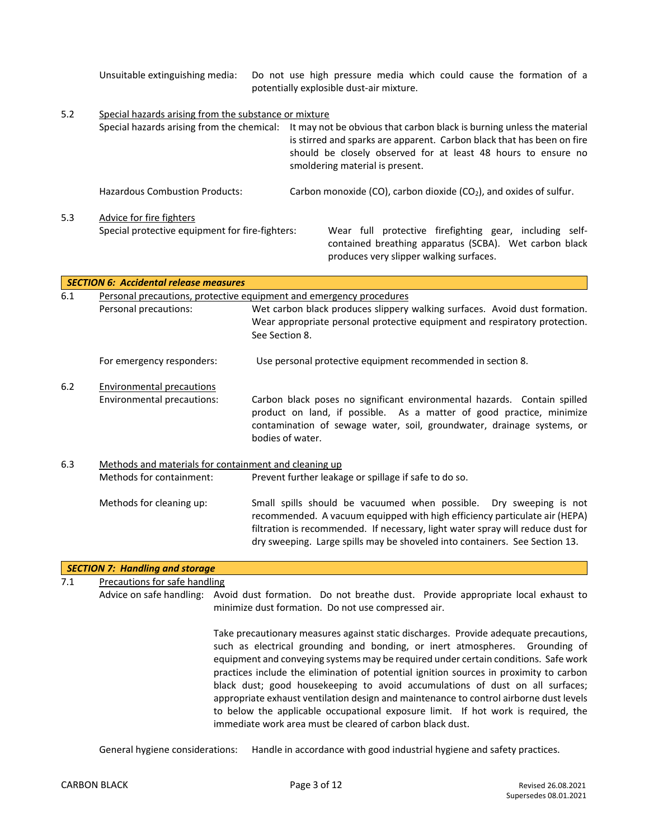Unsuitable extinguishing media: Do not use high pressure media which could cause the formation of a potentially explosible dust-air mixture.

5.2 Special hazards arising from the substance or mixture Special hazards arising from the chemical: It may not be obvious that carbon black is burning unless the material is stirred and sparks are apparent. Carbon black that has been on fire should be closely observed for at least 48 hours to ensure no smoldering material is present. Hazardous Combustion Products: Carbon monoxide (CO), carbon dioxide (CO<sub>2</sub>), and oxides of sulfur. 5.3 Advice for fire fighters Special protective equipment for fire-fighters: Wear full protective firefighting gear, including selfcontained breathing apparatus (SCBA). Wet carbon black produces very slipper walking surfaces.

|     | <b>SECTION 6: Accidental release measures</b>                       |                                                                                                                                                                                                                                                                                                                    |  |  |  |
|-----|---------------------------------------------------------------------|--------------------------------------------------------------------------------------------------------------------------------------------------------------------------------------------------------------------------------------------------------------------------------------------------------------------|--|--|--|
| 6.1 | Personal precautions, protective equipment and emergency procedures |                                                                                                                                                                                                                                                                                                                    |  |  |  |
|     | Personal precautions:                                               | Wet carbon black produces slippery walking surfaces. Avoid dust formation.<br>Wear appropriate personal protective equipment and respiratory protection.<br>See Section 8.                                                                                                                                         |  |  |  |
|     | For emergency responders:                                           | Use personal protective equipment recommended in section 8.                                                                                                                                                                                                                                                        |  |  |  |
| 6.2 | Environmental precautions                                           |                                                                                                                                                                                                                                                                                                                    |  |  |  |
|     | Environmental precautions:                                          | Carbon black poses no significant environmental hazards. Contain spilled<br>product on land, if possible. As a matter of good practice, minimize<br>contamination of sewage water, soil, groundwater, drainage systems, or<br>bodies of water.                                                                     |  |  |  |
| 6.3 | Methods and materials for containment and cleaning up               |                                                                                                                                                                                                                                                                                                                    |  |  |  |
|     | Methods for containment:                                            | Prevent further leakage or spillage if safe to do so.                                                                                                                                                                                                                                                              |  |  |  |
|     | Methods for cleaning up:                                            | Small spills should be vacuumed when possible. Dry sweeping is not<br>recommended. A vacuum equipped with high efficiency particulate air (HEPA)<br>filtration is recommended. If necessary, light water spray will reduce dust for<br>dry sweeping. Large spills may be shoveled into containers. See Section 13. |  |  |  |

# *SECTION 7: Handling and storage* 7.1 Precautions for safe handling

Advice on safe handling: Avoid dust formation. Do not breathe dust. Provide appropriate local exhaust to minimize dust formation. Do not use compressed air.

> Take precautionary measures against static discharges. Provide adequate precautions, such as electrical grounding and bonding, or inert atmospheres. Grounding of equipment and conveying systems may be required under certain conditions. Safe work practices include the elimination of potential ignition sources in proximity to carbon black dust; good housekeeping to avoid accumulations of dust on all surfaces; appropriate exhaust ventilation design and maintenance to control airborne dust levels to below the applicable occupational exposure limit. If hot work is required, the immediate work area must be cleared of carbon black dust.

General hygiene considerations: Handle in accordance with good industrial hygiene and safety practices.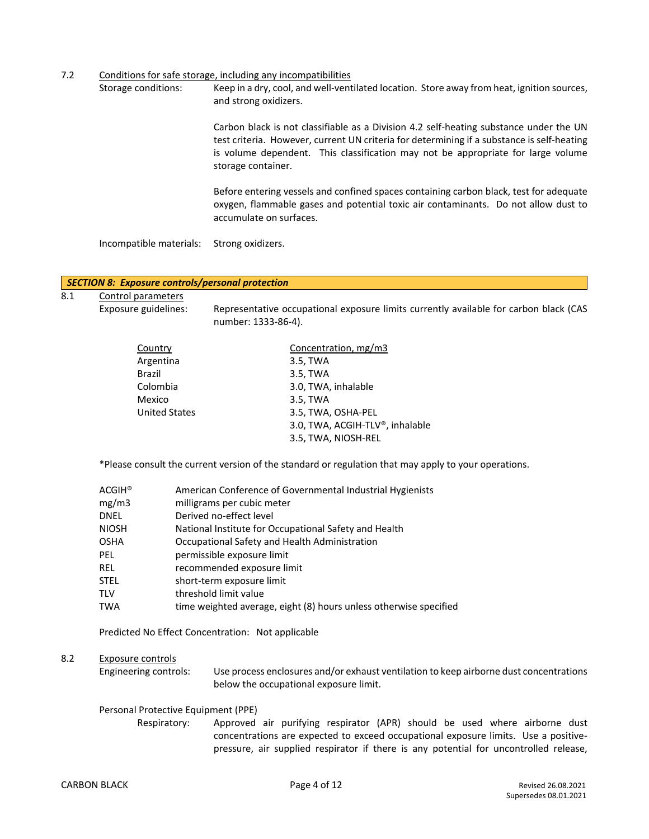7.2 Conditions for safe storage, including any incompatibilities

Storage conditions: Keep in a dry, cool, and well-ventilated location. Store away from heat, ignition sources, and strong oxidizers.

> Carbon black is not classifiable as a Division 4.2 self-heating substance under the UN test criteria. However, current UN criteria for determining if a substance is self-heating is volume dependent. This classification may not be appropriate for large volume storage container.

> Before entering vessels and confined spaces containing carbon black, test for adequate oxygen, flammable gases and potential toxic air contaminants. Do not allow dust to accumulate on surfaces.

Incompatible materials: Strong oxidizers.

#### *SECTION 8: Exposure controls/personal protection*

8.1 Control parameters

Exposure guidelines: Representative occupational exposure limits currently available for carbon black (CAS number: 1333-86-4).

| Country              | Concentration, mg/m3            |
|----------------------|---------------------------------|
| Argentina            | 3.5, TWA                        |
| <b>Brazil</b>        | 3.5, TWA                        |
| Colombia             | 3.0, TWA, inhalable             |
| Mexico               | 3.5, TWA                        |
| <b>United States</b> | 3.5, TWA, OSHA-PEL              |
|                      | 3.0, TWA, ACGIH-TLV®, inhalable |
|                      | 3.5, TWA, NIOSH-REL             |
|                      |                                 |

\*Please consult the current version of the standard or regulation that may apply to your operations.

| <b>ACGIH®</b> | American Conference of Governmental Industrial Hygienists         |
|---------------|-------------------------------------------------------------------|
| mg/m3         | milligrams per cubic meter                                        |
| DNEL          | Derived no-effect level                                           |
| <b>NIOSH</b>  | National Institute for Occupational Safety and Health             |
| OSHA          | Occupational Safety and Health Administration                     |
| PEL           | permissible exposure limit                                        |
| REL           | recommended exposure limit                                        |
| STEL          | short-term exposure limit                                         |
| TLV           | threshold limit value                                             |
| TWA           | time weighted average, eight (8) hours unless otherwise specified |
|               |                                                                   |

Predicted No Effect Concentration: Not applicable

# 8.2 Exposure controls

Engineering controls: Use process enclosures and/or exhaust ventilation to keep airborne dust concentrations below the occupational exposure limit.

#### Personal Protective Equipment (PPE)

Respiratory: Approved air purifying respirator (APR) should be used where airborne dust concentrations are expected to exceed occupational exposure limits. Use a positivepressure, air supplied respirator if there is any potential for uncontrolled release,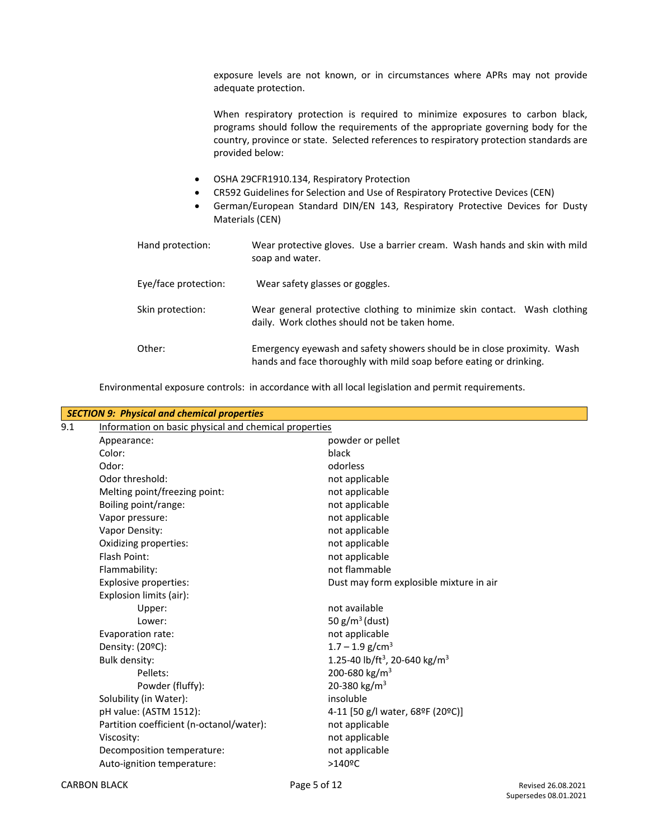exposure levels are not known, or in circumstances where APRs may not provide adequate protection.

When respiratory protection is required to minimize exposures to carbon black, programs should follow the requirements of the appropriate governing body for the country, province or state. Selected references to respiratory protection standards are provided below:

- OSHA 29CFR1910.134, Respiratory Protection
- CR592 Guidelines for Selection and Use of Respiratory Protective Devices (CEN)
- German/European Standard DIN/EN 143, Respiratory Protective Devices for Dusty Materials (CEN)

| Hand protection:     | Wear protective gloves. Use a barrier cream. Wash hands and skin with mild<br>soap and water.                                                  |
|----------------------|------------------------------------------------------------------------------------------------------------------------------------------------|
| Eye/face protection: | Wear safety glasses or goggles.                                                                                                                |
| Skin protection:     | Wear general protective clothing to minimize skin contact. Wash clothing<br>daily. Work clothes should not be taken home.                      |
| Other:               | Emergency eyewash and safety showers should be in close proximity. Wash<br>hands and face thoroughly with mild soap before eating or drinking. |

Environmental exposure controls: in accordance with all local legislation and permit requirements.

| <b>SECTION 9: Physical and chemical properties</b>    |                                                                                                                                                                                              |  |  |  |
|-------------------------------------------------------|----------------------------------------------------------------------------------------------------------------------------------------------------------------------------------------------|--|--|--|
| Information on basic physical and chemical properties |                                                                                                                                                                                              |  |  |  |
| Appearance:                                           | powder or pellet                                                                                                                                                                             |  |  |  |
| Color:                                                | black                                                                                                                                                                                        |  |  |  |
| Odor:                                                 | odorless                                                                                                                                                                                     |  |  |  |
| Odor threshold:                                       | not applicable                                                                                                                                                                               |  |  |  |
| Melting point/freezing point:                         | not applicable                                                                                                                                                                               |  |  |  |
| Boiling point/range:                                  | not applicable                                                                                                                                                                               |  |  |  |
| Vapor pressure:                                       | not applicable                                                                                                                                                                               |  |  |  |
| Vapor Density:                                        | not applicable                                                                                                                                                                               |  |  |  |
| Oxidizing properties:                                 | not applicable                                                                                                                                                                               |  |  |  |
| Flash Point:                                          | not applicable                                                                                                                                                                               |  |  |  |
| Flammability:                                         | not flammable                                                                                                                                                                                |  |  |  |
|                                                       | Dust may form explosible mixture in air                                                                                                                                                      |  |  |  |
|                                                       |                                                                                                                                                                                              |  |  |  |
| Upper:                                                | not available                                                                                                                                                                                |  |  |  |
| Lower:                                                | 50 $g/m^3$ (dust)                                                                                                                                                                            |  |  |  |
| Evaporation rate:                                     | not applicable                                                                                                                                                                               |  |  |  |
| Density: (20ºC):                                      | $1.7 - 1.9$ g/cm <sup>3</sup>                                                                                                                                                                |  |  |  |
| Bulk density:                                         | 1.25-40 lb/ft <sup>3</sup> , 20-640 kg/m <sup>3</sup>                                                                                                                                        |  |  |  |
| Pellets:                                              | 200-680 kg/m <sup>3</sup>                                                                                                                                                                    |  |  |  |
| Powder (fluffy):                                      | 20-380 kg/m <sup>3</sup>                                                                                                                                                                     |  |  |  |
|                                                       | insoluble                                                                                                                                                                                    |  |  |  |
|                                                       | 4-11 [50 g/l water, 68ºF (20ºC)]                                                                                                                                                             |  |  |  |
|                                                       | not applicable                                                                                                                                                                               |  |  |  |
|                                                       | not applicable                                                                                                                                                                               |  |  |  |
| Decomposition temperature:                            | not applicable                                                                                                                                                                               |  |  |  |
|                                                       | $>140$ <sup>o</sup> C                                                                                                                                                                        |  |  |  |
|                                                       | Explosive properties:<br>Explosion limits (air):<br>Solubility (in Water):<br>pH value: (ASTM 1512):<br>Partition coefficient (n-octanol/water):<br>Viscosity:<br>Auto-ignition temperature: |  |  |  |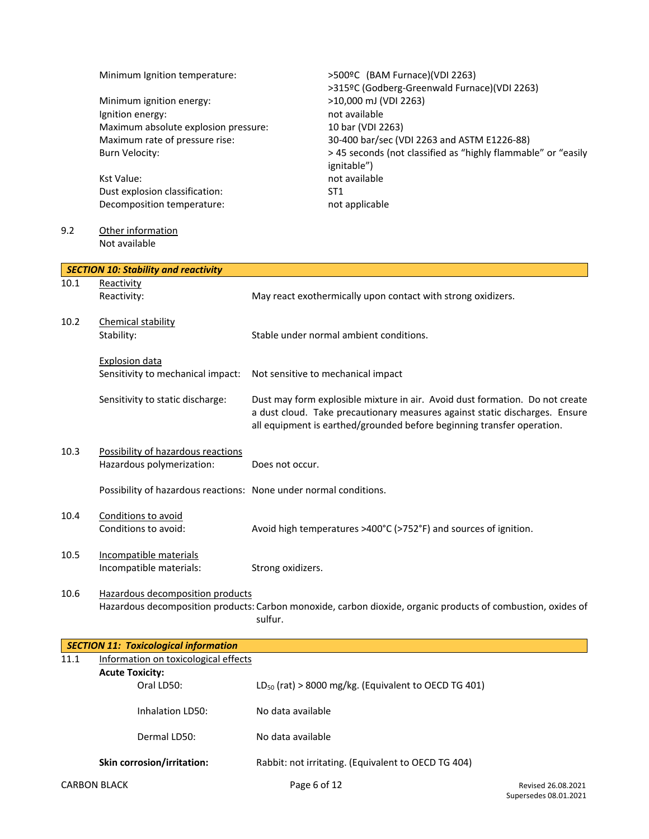|      | Minimum Ignition temperature:<br>Minimum ignition energy:<br>Ignition energy:<br>Maximum absolute explosion pressure:<br>Maximum rate of pressure rise:<br><b>Burn Velocity:</b><br>Kst Value:<br>Dust explosion classification:<br>Decomposition temperature: | >500ºC (BAM Furnace)(VDI 2263)<br>>315ºC (Godberg-Greenwald Furnace)(VDI 2263)<br>>10,000 mJ (VDI 2263)<br>not available<br>10 bar (VDI 2263)<br>30-400 bar/sec (VDI 2263 and ASTM E1226-88)<br>> 45 seconds (not classified as "highly flammable" or "easily<br>ignitable")<br>not available<br>ST <sub>1</sub><br>not applicable |  |  |
|------|----------------------------------------------------------------------------------------------------------------------------------------------------------------------------------------------------------------------------------------------------------------|------------------------------------------------------------------------------------------------------------------------------------------------------------------------------------------------------------------------------------------------------------------------------------------------------------------------------------|--|--|
| 9.2  | Other information<br>Not available                                                                                                                                                                                                                             |                                                                                                                                                                                                                                                                                                                                    |  |  |
|      | <b>SECTION 10: Stability and reactivity</b>                                                                                                                                                                                                                    |                                                                                                                                                                                                                                                                                                                                    |  |  |
| 10.1 | Reactivity<br>Reactivity:                                                                                                                                                                                                                                      | May react exothermically upon contact with strong oxidizers.                                                                                                                                                                                                                                                                       |  |  |
| 10.2 | Chemical stability<br>Stability:                                                                                                                                                                                                                               | Stable under normal ambient conditions.                                                                                                                                                                                                                                                                                            |  |  |
|      | Explosion data<br>Sensitivity to mechanical impact:                                                                                                                                                                                                            | Not sensitive to mechanical impact                                                                                                                                                                                                                                                                                                 |  |  |
|      | Sensitivity to static discharge:                                                                                                                                                                                                                               | Dust may form explosible mixture in air. Avoid dust formation. Do not create<br>a dust cloud. Take precautionary measures against static discharges. Ensure<br>all equipment is earthed/grounded before beginning transfer operation.                                                                                              |  |  |
| 10.3 | Possibility of hazardous reactions<br>Hazardous polymerization:                                                                                                                                                                                                | Does not occur.                                                                                                                                                                                                                                                                                                                    |  |  |
|      | Possibility of hazardous reactions: None under normal conditions.                                                                                                                                                                                              |                                                                                                                                                                                                                                                                                                                                    |  |  |
| 10.4 | Conditions to avoid<br>Conditions to avoid:                                                                                                                                                                                                                    | Avoid high temperatures >400°C (>752°F) and sources of ignition.                                                                                                                                                                                                                                                                   |  |  |
| 10.5 | Incompatible materials<br>Incompatible materials:                                                                                                                                                                                                              | Strong oxidizers.                                                                                                                                                                                                                                                                                                                  |  |  |
| 10.6 | Hazardous decomposition products                                                                                                                                                                                                                               | Hazardous decomposition products: Carbon monoxide, carbon dioxide, organic products of combustion, oxides of<br>sulfur.                                                                                                                                                                                                            |  |  |
|      | <b>SECTION 11: Toxicological information</b>                                                                                                                                                                                                                   |                                                                                                                                                                                                                                                                                                                                    |  |  |
| 11.1 | Information on toxicological effects                                                                                                                                                                                                                           |                                                                                                                                                                                                                                                                                                                                    |  |  |
|      | <b>Acute Toxicity:</b><br>Oral LD50:                                                                                                                                                                                                                           | LD <sub>50</sub> (rat) > 8000 mg/kg. (Equivalent to OECD TG 401)                                                                                                                                                                                                                                                                   |  |  |
|      | Inhalation LD50:                                                                                                                                                                                                                                               | No data available                                                                                                                                                                                                                                                                                                                  |  |  |
|      | Dermal LD50:                                                                                                                                                                                                                                                   | No data available                                                                                                                                                                                                                                                                                                                  |  |  |
|      | Skin corrosion/irritation:                                                                                                                                                                                                                                     | Rabbit: not irritating. (Equivalent to OECD TG 404)                                                                                                                                                                                                                                                                                |  |  |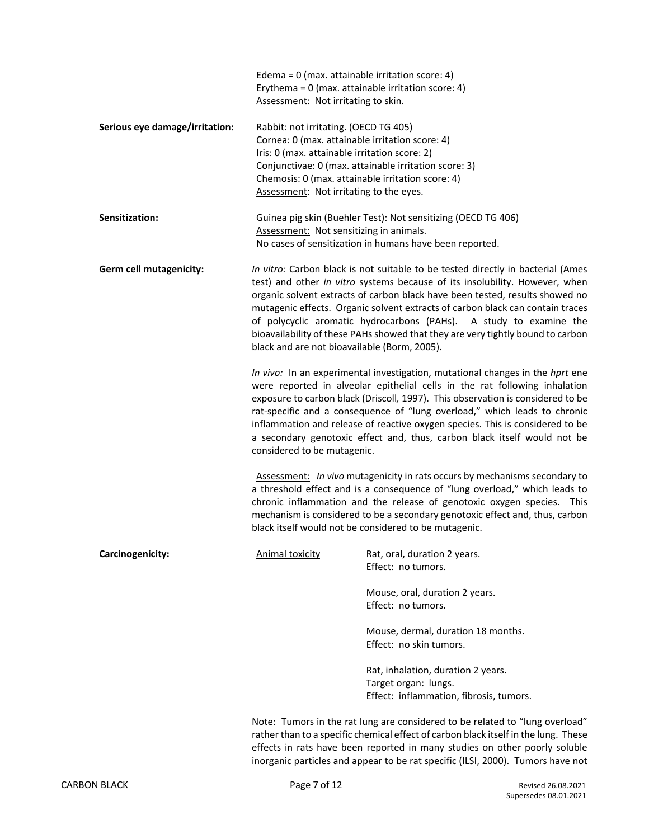|                                | Edema = $0$ (max. attainable irritation score: 4)<br>Assessment: Not irritating to skin.                                                                                                                                                                                                                                                                                                                                                                                                                                                  | Erythema = $0$ (max. attainable irritation score: 4)                                                                                                                                                                                                                                                                                                                                                                                                                                     |  |  |
|--------------------------------|-------------------------------------------------------------------------------------------------------------------------------------------------------------------------------------------------------------------------------------------------------------------------------------------------------------------------------------------------------------------------------------------------------------------------------------------------------------------------------------------------------------------------------------------|------------------------------------------------------------------------------------------------------------------------------------------------------------------------------------------------------------------------------------------------------------------------------------------------------------------------------------------------------------------------------------------------------------------------------------------------------------------------------------------|--|--|
| Serious eye damage/irritation: | Rabbit: not irritating. (OECD TG 405)<br>Cornea: 0 (max. attainable irritation score: 4)<br>Iris: 0 (max. attainable irritation score: 2)<br>Chemosis: 0 (max. attainable irritation score: 4)<br>Assessment: Not irritating to the eyes.                                                                                                                                                                                                                                                                                                 | Conjunctivae: 0 (max. attainable irritation score: 3)                                                                                                                                                                                                                                                                                                                                                                                                                                    |  |  |
| Sensitization:                 | Assessment: Not sensitizing in animals.                                                                                                                                                                                                                                                                                                                                                                                                                                                                                                   | Guinea pig skin (Buehler Test): Not sensitizing (OECD TG 406)<br>No cases of sensitization in humans have been reported.                                                                                                                                                                                                                                                                                                                                                                 |  |  |
| Germ cell mutagenicity:        | In vitro: Carbon black is not suitable to be tested directly in bacterial (Ames<br>test) and other in vitro systems because of its insolubility. However, when<br>organic solvent extracts of carbon black have been tested, results showed no<br>mutagenic effects. Organic solvent extracts of carbon black can contain traces<br>of polycyclic aromatic hydrocarbons (PAHs). A study to examine the<br>bioavailability of these PAHs showed that they are very tightly bound to carbon<br>black and are not bioavailable (Borm, 2005). |                                                                                                                                                                                                                                                                                                                                                                                                                                                                                          |  |  |
|                                | considered to be mutagenic.                                                                                                                                                                                                                                                                                                                                                                                                                                                                                                               | In vivo: In an experimental investigation, mutational changes in the hprt ene<br>were reported in alveolar epithelial cells in the rat following inhalation<br>exposure to carbon black (Driscoll, 1997). This observation is considered to be<br>rat-specific and a consequence of "lung overload," which leads to chronic<br>inflammation and release of reactive oxygen species. This is considered to be<br>a secondary genotoxic effect and, thus, carbon black itself would not be |  |  |
|                                | Assessment: In vivo mutagenicity in rats occurs by mechanisms secondary to<br>a threshold effect and is a consequence of "lung overload," which leads to<br>chronic inflammation and the release of genotoxic oxygen species. This<br>mechanism is considered to be a secondary genotoxic effect and, thus, carbon<br>black itself would not be considered to be mutagenic.                                                                                                                                                               |                                                                                                                                                                                                                                                                                                                                                                                                                                                                                          |  |  |
| Carcinogenicity:               | <b>Animal toxicity</b>                                                                                                                                                                                                                                                                                                                                                                                                                                                                                                                    | Rat, oral, duration 2 years.<br>Effect: no tumors.                                                                                                                                                                                                                                                                                                                                                                                                                                       |  |  |
|                                |                                                                                                                                                                                                                                                                                                                                                                                                                                                                                                                                           | Mouse, oral, duration 2 years.<br>Effect: no tumors.                                                                                                                                                                                                                                                                                                                                                                                                                                     |  |  |
|                                |                                                                                                                                                                                                                                                                                                                                                                                                                                                                                                                                           | Mouse, dermal, duration 18 months.<br>Effect: no skin tumors.                                                                                                                                                                                                                                                                                                                                                                                                                            |  |  |
|                                |                                                                                                                                                                                                                                                                                                                                                                                                                                                                                                                                           | Rat, inhalation, duration 2 years.<br>Target organ: lungs.<br>Effect: inflammation, fibrosis, tumors.                                                                                                                                                                                                                                                                                                                                                                                    |  |  |
|                                |                                                                                                                                                                                                                                                                                                                                                                                                                                                                                                                                           | Note: Tumors in the rat lung are considered to be related to "lung overload"<br>rather than to a specific chemical effect of carbon black itself in the lung. These<br>effects in rats have been reported in many studies on other poorly soluble                                                                                                                                                                                                                                        |  |  |

inorganic particles and appear to be rat specific (ILSI, 2000). Tumors have not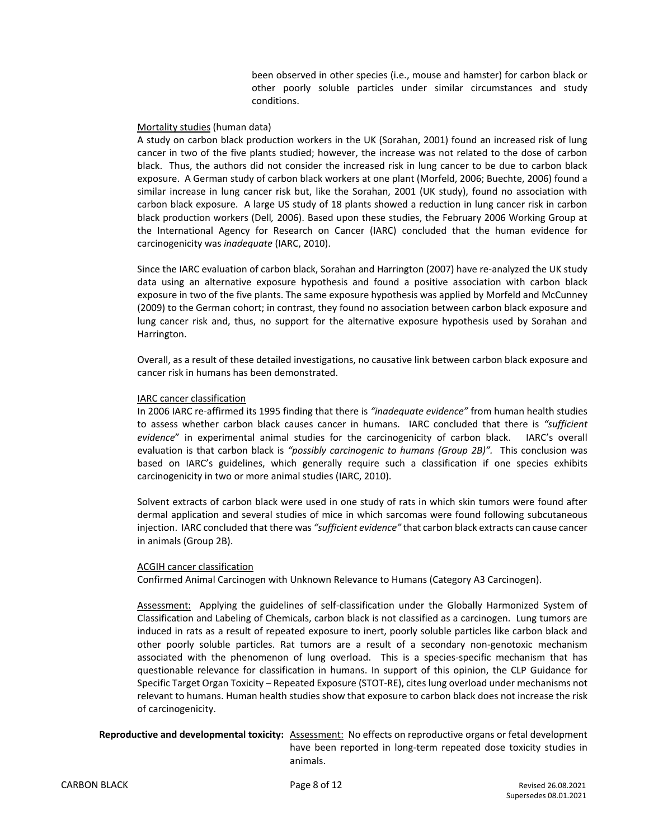been observed in other species (i.e., mouse and hamster) for carbon black or other poorly soluble particles under similar circumstances and study conditions.

#### Mortality studies (human data)

A study on carbon black production workers in the UK (Sorahan, 2001) found an increased risk of lung cancer in two of the five plants studied; however, the increase was not related to the dose of carbon black. Thus, the authors did not consider the increased risk in lung cancer to be due to carbon black exposure. A German study of carbon black workers at one plant (Morfeld, 2006; Buechte, 2006) found a similar increase in lung cancer risk but, like the Sorahan, 2001 (UK study), found no association with carbon black exposure. A large US study of 18 plants showed a reduction in lung cancer risk in carbon black production workers (Dell*,* 2006). Based upon these studies, the February 2006 Working Group at the International Agency for Research on Cancer (IARC) concluded that the human evidence for carcinogenicity was *inadequate* (IARC, 2010).

Since the IARC evaluation of carbon black, Sorahan and Harrington (2007) have re-analyzed the UK study data using an alternative exposure hypothesis and found a positive association with carbon black exposure in two of the five plants. The same exposure hypothesis was applied by Morfeld and McCunney (2009) to the German cohort; in contrast, they found no association between carbon black exposure and lung cancer risk and, thus, no support for the alternative exposure hypothesis used by Sorahan and Harrington.

Overall, as a result of these detailed investigations, no causative link between carbon black exposure and cancer risk in humans has been demonstrated.

#### IARC cancer classification

In 2006 IARC re-affirmed its 1995 finding that there is *"inadequate evidence"* from human health studies to assess whether carbon black causes cancer in humans. IARC concluded that there is *"sufficient evidence*" in experimental animal studies for the carcinogenicity of carbon black. IARC's overall evaluation is that carbon black is *"possibly carcinogenic to humans (Group 2B)".* This conclusion was based on IARC's guidelines, which generally require such a classification if one species exhibits carcinogenicity in two or more animal studies (IARC, 2010).

Solvent extracts of carbon black were used in one study of rats in which skin tumors were found after dermal application and several studies of mice in which sarcomas were found following subcutaneous injection. IARC concluded that there was *"sufficient evidence"* that carbon black extracts can cause cancer in animals (Group 2B).

#### ACGIH cancer classification

Confirmed Animal Carcinogen with Unknown Relevance to Humans (Category A3 Carcinogen).

Assessment: Applying the guidelines of self-classification under the Globally Harmonized System of Classification and Labeling of Chemicals, carbon black is not classified as a carcinogen. Lung tumors are induced in rats as a result of repeated exposure to inert, poorly soluble particles like carbon black and other poorly soluble particles. Rat tumors are a result of a secondary non-genotoxic mechanism associated with the phenomenon of lung overload. This is a species-specific mechanism that has questionable relevance for classification in humans. In support of this opinion, the CLP Guidance for Specific Target Organ Toxicity – Repeated Exposure (STOT-RE), cites lung overload under mechanisms not relevant to humans. Human health studies show that exposure to carbon black does not increase the risk of carcinogenicity.

### **Reproductive and developmental toxicity:** Assessment: No effects on reproductive organs or fetal development have been reported in long-term repeated dose toxicity studies in animals.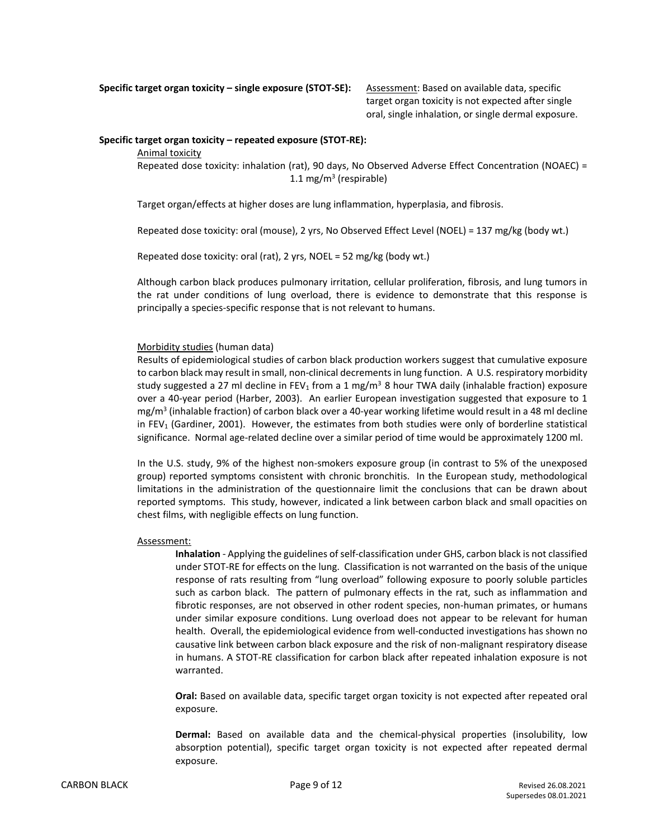**Specific target organ toxicity – single exposure (STOT-SE):** Assessment: Based on available data, specific

target organ toxicity is not expected after single oral, single inhalation, or single dermal exposure.

#### **Specific target organ toxicity – repeated exposure (STOT-RE):**

Animal toxicity

Repeated dose toxicity: inhalation (rat), 90 days, No Observed Adverse Effect Concentration (NOAEC) = 1.1 mg/m<sup>3</sup> (respirable)

Target organ/effects at higher doses are lung inflammation, hyperplasia, and fibrosis.

Repeated dose toxicity: oral (mouse), 2 yrs, No Observed Effect Level (NOEL) = 137 mg/kg (body wt.)

Repeated dose toxicity: oral (rat), 2 yrs, NOEL = 52 mg/kg (body wt.)

Although carbon black produces pulmonary irritation, cellular proliferation, fibrosis, and lung tumors in the rat under conditions of lung overload, there is evidence to demonstrate that this response is principally a species-specific response that is not relevant to humans.

#### Morbidity studies (human data)

Results of epidemiological studies of carbon black production workers suggest that cumulative exposure to carbon black may result in small, non-clinical decrements in lung function. A U.S. respiratory morbidity study suggested a 27 ml decline in FEV<sub>1</sub> from a 1 mg/m<sup>3</sup> 8 hour TWA daily (inhalable fraction) exposure over a 40-year period (Harber, 2003). An earlier European investigation suggested that exposure to 1 mg/m<sup>3</sup> (inhalable fraction) of carbon black over a 40-year working lifetime would result in a 48 ml decline in FEV<sub>1</sub> (Gardiner, 2001). However, the estimates from both studies were only of borderline statistical significance. Normal age-related decline over a similar period of time would be approximately 1200 ml.

In the U.S. study, 9% of the highest non-smokers exposure group (in contrast to 5% of the unexposed group) reported symptoms consistent with chronic bronchitis. In the European study, methodological limitations in the administration of the questionnaire limit the conclusions that can be drawn about reported symptoms. This study, however, indicated a link between carbon black and small opacities on chest films, with negligible effects on lung function.

#### Assessment:

**Inhalation** - Applying the guidelines of self-classification under GHS, carbon black is not classified under STOT-RE for effects on the lung. Classification is not warranted on the basis of the unique response of rats resulting from "lung overload" following exposure to poorly soluble particles such as carbon black. The pattern of pulmonary effects in the rat, such as inflammation and fibrotic responses, are not observed in other rodent species, non-human primates, or humans under similar exposure conditions. Lung overload does not appear to be relevant for human health. Overall, the epidemiological evidence from well-conducted investigations has shown no causative link between carbon black exposure and the risk of non-malignant respiratory disease in humans. A STOT-RE classification for carbon black after repeated inhalation exposure is not warranted.

**Oral:** Based on available data, specific target organ toxicity is not expected after repeated oral exposure.

**Dermal:** Based on available data and the chemical-physical properties (insolubility, low absorption potential), specific target organ toxicity is not expected after repeated dermal exposure.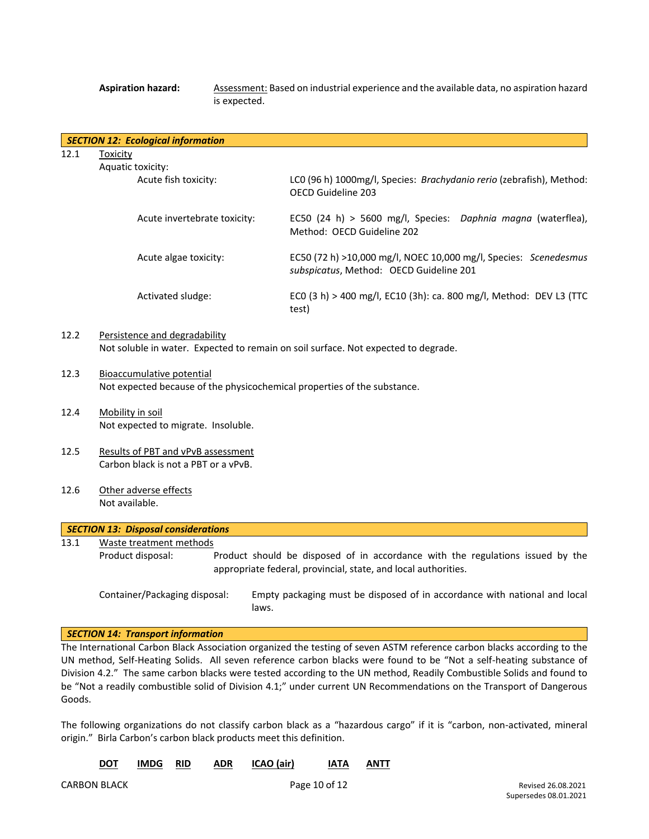Aspiration hazard: **Assessment: Based on industrial experience and the available data, no aspiration hazard** is expected.

|      | SECTION 12: Ecological information |                                                                                                               |
|------|------------------------------------|---------------------------------------------------------------------------------------------------------------|
| 12.1 | Toxicity                           |                                                                                                               |
|      | Aquatic toxicity:                  |                                                                                                               |
|      | Acute fish toxicity:               | LCO (96 h) 1000mg/l, Species: Brachydanio rerio (zebrafish), Method:<br>OECD Guideline 203                    |
|      | Acute invertebrate toxicity:       | EC50 (24 h) > 5600 mg/l, Species: Daphnia magna (waterflea),<br>Method: OECD Guideline 202                    |
|      | Acute algae toxicity:              | EC50 (72 h) $>10,000$ mg/l, NOEC 10,000 mg/l, Species: Scenedesmus<br>subspicatus, Method: OECD Guideline 201 |
|      | Activated sludge:                  | ECO (3 h) > 400 mg/l, EC10 (3h): ca. 800 mg/l, Method: DEV L3 (TTC<br>test)                                   |

### 12.2 Persistence and degradability Not soluble in water. Expected to remain on soil surface. Not expected to degrade.

- 12.3 Bioaccumulative potential Not expected because of the physicochemical properties of the substance.
- 12.4 Mobility in soil Not expected to migrate. Insoluble.
- 12.5 Results of PBT and vPvB assessment Carbon black is not a PBT or a vPvB.
- 12.6 Other adverse effects Not available.

# *SECTION 13: Disposal considerations*

- 13.1 Waste treatment methods
- Product disposal: Product should be disposed of in accordance with the regulations issued by the appropriate federal, provincial, state, and local authorities.

Container/Packaging disposal: Empty packaging must be disposed of in accordance with national and local laws.

#### *SECTION 14: Transport information*

The International Carbon Black Association organized the testing of seven ASTM reference carbon blacks according to the UN method, Self-Heating Solids. All seven reference carbon blacks were found to be "Not a self-heating substance of Division 4.2." The same carbon blacks were tested according to the UN method, Readily Combustible Solids and found to be "Not a readily combustible solid of Division 4.1;" under current UN Recommendations on the Transport of Dangerous Goods.

The following organizations do not classify carbon black as a "hazardous cargo" if it is "carbon, non-activated, mineral origin." Birla Carbon's carbon black products meet this definition.

| <b>DOT</b> | IMDG RID |  | <b>ADR</b> | <b>ICAO (air)</b> | IATA | ANTT |
|------------|----------|--|------------|-------------------|------|------|
|------------|----------|--|------------|-------------------|------|------|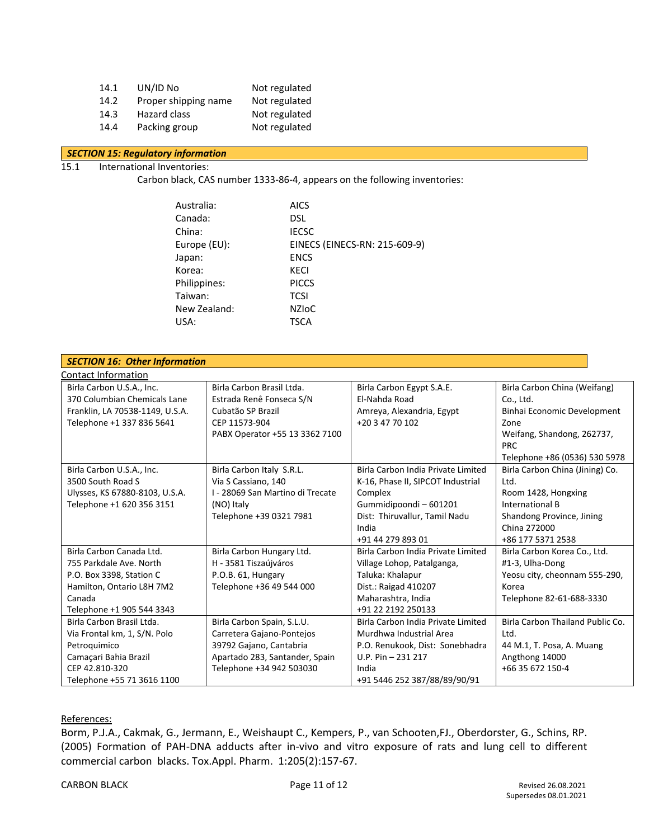| 14.1 | UN/ID No             | Not regulated |
|------|----------------------|---------------|
| 14.2 | Proper shipping name | Not regulated |
| 14.3 | Hazard class         | Not regulated |
| 14.4 | Packing group        | Not regulated |

## *SECTION 15: Regulatory information*

# 15.1 International Inventories:

Carbon black, CAS number 1333-86-4, appears on the following inventories:

| Australia:   | <b>AICS</b>                   |
|--------------|-------------------------------|
| Canada:      | DSL.                          |
| China:       | <b>IECSC</b>                  |
| Europe (EU): | EINECS (EINECS-RN: 215-609-9) |
| Japan:       | <b>ENCS</b>                   |
| Korea:       | KECI                          |
| Philippines: | <b>PICCS</b>                  |
| Taiwan:      | <b>TCSI</b>                   |
| New Zealand: | <b>NZIOC</b>                  |
| USA:         | TSCA                          |
|              |                               |

| <b>SECTION 16: Other Information</b> |                                  |                                    |                                  |  |
|--------------------------------------|----------------------------------|------------------------------------|----------------------------------|--|
| Contact Information                  |                                  |                                    |                                  |  |
| Birla Carbon U.S.A., Inc.            | Birla Carbon Brasil Ltda.        | Birla Carbon Egypt S.A.E.          | Birla Carbon China (Weifang)     |  |
| 370 Columbian Chemicals Lane         | Estrada Renê Fonseca S/N         | El-Nahda Road                      | Co., Ltd.                        |  |
| Franklin, LA 70538-1149, U.S.A.      | Cubatão SP Brazil                | Amreya, Alexandria, Egypt          | Binhai Economic Development      |  |
| Telephone +1 337 836 5641            | CEP 11573-904                    | +20 3 47 70 102                    | Zone                             |  |
|                                      | PABX Operator +55 13 3362 7100   |                                    | Weifang, Shandong, 262737,       |  |
|                                      |                                  |                                    | <b>PRC</b>                       |  |
|                                      |                                  |                                    | Telephone +86 (0536) 530 5978    |  |
| Birla Carbon U.S.A., Inc.            | Birla Carbon Italy S.R.L.        | Birla Carbon India Private Limited | Birla Carbon China (Jining) Co.  |  |
| 3500 South Road S                    | Via S Cassiano, 140              | K-16, Phase II, SIPCOT Industrial  | Ltd.                             |  |
| Ulysses, KS 67880-8103, U.S.A.       | I - 28069 San Martino di Trecate | Complex                            | Room 1428, Hongxing              |  |
| Telephone +1 620 356 3151            | (NO) Italy                       | Gummidipoondi-601201               | International B                  |  |
|                                      | Telephone +39 0321 7981          | Dist: Thiruvallur, Tamil Nadu      | Shandong Province, Jining        |  |
|                                      |                                  | India                              | China 272000                     |  |
|                                      |                                  | +91 44 279 893 01                  | +86 177 5371 2538                |  |
| Birla Carbon Canada Ltd.             | Birla Carbon Hungary Ltd.        | Birla Carbon India Private Limited | Birla Carbon Korea Co., Ltd.     |  |
| 755 Parkdale Ave. North              | H - 3581 Tiszaújváros            | Village Lohop, Patalganga,         | #1-3, Ulha-Dong                  |  |
| P.O. Box 3398, Station C             | P.O.B. 61, Hungary               | Taluka: Khalapur                   | Yeosu city, cheonnam 555-290,    |  |
| Hamilton, Ontario L8H 7M2            | Telephone +36 49 544 000         | Dist.: Raigad 410207               | Korea                            |  |
| Canada                               |                                  | Maharashtra, India                 | Telephone 82-61-688-3330         |  |
| Telephone +1 905 544 3343            |                                  | +91 22 2192 250133                 |                                  |  |
| Birla Carbon Brasil Ltda.            | Birla Carbon Spain, S.L.U.       | Birla Carbon India Private Limited | Birla Carbon Thailand Public Co. |  |
| Via Frontal km, 1, S/N. Polo         | Carretera Gajano-Pontejos        | Murdhwa Industrial Area            | Ltd.                             |  |
| Petroquimico                         | 39792 Gajano, Cantabria          | P.O. Renukook, Dist: Sonebhadra    | 44 M.1, T. Posa, A. Muang        |  |
| Camaçari Bahia Brazil                | Apartado 283, Santander, Spain   | U.P. Pin - 231 217                 | Angthong 14000                   |  |
| CEP 42.810-320                       | Telephone +34 942 503030         | India                              | +66 35 672 150-4                 |  |
| Telephone +55 71 3616 1100           |                                  | +91 5446 252 387/88/89/90/91       |                                  |  |

## References:

Borm, P.J.A., Cakmak, G., Jermann, E., Weishaupt C., Kempers, P., van Schooten,FJ., Oberdorster, G., Schins, RP. (2005) Formation of PAH-DNA adducts after in-vivo and vitro exposure of rats and lung cell to different commercial carbon blacks. Tox.Appl. Pharm. 1:205(2):157-67.